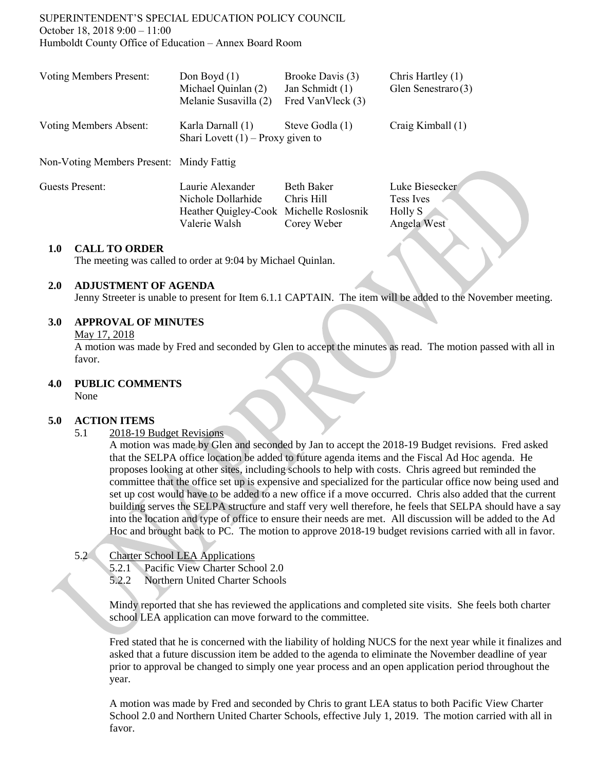# SUPERINTENDENT'S SPECIAL EDUCATION POLICY COUNCIL October 18, 2018 9:00 – 11:00 Humboldt County Office of Education – Annex Board Room

| <b>Voting Members Present:</b>           | Don Boyd $(1)$<br>Michael Quinlan (2)<br>Melanie Susavilla (2) | Brooke Davis (3)<br>Jan Schmidt (1)<br>Fred VanVleck (3) | Chris Hartley (1)<br>Glen Senestraro (3) |
|------------------------------------------|----------------------------------------------------------------|----------------------------------------------------------|------------------------------------------|
| <b>Voting Members Absent:</b>            | Karla Darnall (1)<br>Shari Lovett $(1)$ – Proxy given to       | Steve Godla (1)                                          | Craig Kimball (1)                        |
| Non-Voting Members Present: Mindy Fattig |                                                                |                                                          |                                          |
| Guests Present:                          | Laurie Alexander<br>Nichole Dollarhide                         | <b>Beth Baker</b><br>Chris Hill                          | Luke Biesecker<br><b>Tess</b> Ives       |

#### **1.0 CALL TO ORDER**

The meeting was called to order at 9:04 by Michael Quinlan.

#### **2.0 ADJUSTMENT OF AGENDA**

Jenny Streeter is unable to present for Item 6.1.1 CAPTAIN. The item will be added to the November meeting.

Heather Quigley-Cook Michelle Roslosnik Holly S Valerie Walsh Corey Weber Angela West

## **3.0 APPROVAL OF MINUTES**

#### May 17, 2018

A motion was made by Fred and seconded by Glen to accept the minutes as read. The motion passed with all in favor.

#### **4.0 PUBLIC COMMENTS**

None

#### **5.0 ACTION ITEMS**

5.1 2018-19 Budget Revisions

A motion was made by Glen and seconded by Jan to accept the 2018-19 Budget revisions. Fred asked that the SELPA office location be added to future agenda items and the Fiscal Ad Hoc agenda. He proposes looking at other sites, including schools to help with costs. Chris agreed but reminded the committee that the office set up is expensive and specialized for the particular office now being used and set up cost would have to be added to a new office if a move occurred. Chris also added that the current building serves the SELPA structure and staff very well therefore, he feels that SELPA should have a say into the location and type of office to ensure their needs are met. All discussion will be added to the Ad Hoc and brought back to PC. The motion to approve 2018-19 budget revisions carried with all in favor.

## 5.2 Charter School LEA Applications

- 5.2.1 Pacific View Charter School 2.0
- 5.2.2 Northern United Charter Schools

Mindy reported that she has reviewed the applications and completed site visits. She feels both charter school LEA application can move forward to the committee.

Fred stated that he is concerned with the liability of holding NUCS for the next year while it finalizes and asked that a future discussion item be added to the agenda to eliminate the November deadline of year prior to approval be changed to simply one year process and an open application period throughout the year.

A motion was made by Fred and seconded by Chris to grant LEA status to both Pacific View Charter School 2.0 and Northern United Charter Schools, effective July 1, 2019. The motion carried with all in favor.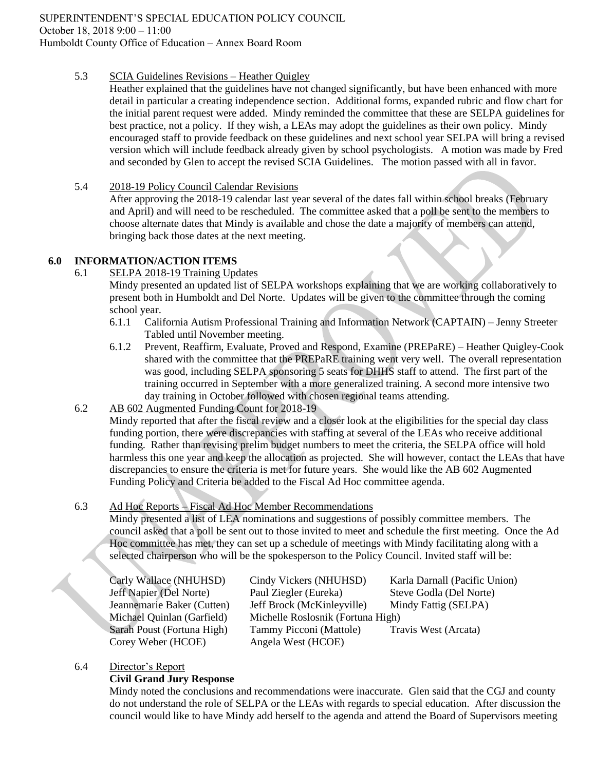# 5.3 SCIA Guidelines Revisions – Heather Quigley

Heather explained that the guidelines have not changed significantly, but have been enhanced with more detail in particular a creating independence section. Additional forms, expanded rubric and flow chart for the initial parent request were added. Mindy reminded the committee that these are SELPA guidelines for best practice, not a policy. If they wish, a LEAs may adopt the guidelines as their own policy. Mindy encouraged staff to provide feedback on these guidelines and next school year SELPA will bring a revised version which will include feedback already given by school psychologists. A motion was made by Fred and seconded by Glen to accept the revised SCIA Guidelines. The motion passed with all in favor.

# 5.4 2018-19 Policy Council Calendar Revisions

After approving the 2018-19 calendar last year several of the dates fall within school breaks (February and April) and will need to be rescheduled. The committee asked that a poll be sent to the members to choose alternate dates that Mindy is available and chose the date a majority of members can attend, bringing back those dates at the next meeting.

# **6.0 INFORMATION/ACTION ITEMS**

6.1 SELPA 2018-19 Training Updates

Mindy presented an updated list of SELPA workshops explaining that we are working collaboratively to present both in Humboldt and Del Norte. Updates will be given to the committee through the coming school year.

- 6.1.1 California Autism Professional Training and Information Network (CAPTAIN) Jenny Streeter Tabled until November meeting.
- 6.1.2 Prevent, Reaffirm, Evaluate, Proved and Respond, Examine (PREPaRE) Heather Quigley-Cook shared with the committee that the PREPaRE training went very well. The overall representation was good, including SELPA sponsoring 5 seats for DHHS staff to attend. The first part of the training occurred in September with a more generalized training. A second more intensive two day training in October followed with chosen regional teams attending.
- 6.2 AB 602 Augmented Funding Count for 2018-19

Mindy reported that after the fiscal review and a closer look at the eligibilities for the special day class funding portion, there were discrepancies with staffing at several of the LEAs who receive additional funding. Rather than revising prelim budget numbers to meet the criteria, the SELPA office will hold harmless this one year and keep the allocation as projected. She will however, contact the LEAs that have discrepancies to ensure the criteria is met for future years. She would like the AB 602 Augmented Funding Policy and Criteria be added to the Fiscal Ad Hoc committee agenda.

# 6.3 Ad Hoc Reports – Fiscal Ad Hoc Member Recommendations

Mindy presented a list of LEA nominations and suggestions of possibly committee members. The council asked that a poll be sent out to those invited to meet and schedule the first meeting. Once the Ad Hoc committee has met, they can set up a schedule of meetings with Mindy facilitating along with a selected chairperson who will be the spokesperson to the Policy Council. Invited staff will be:

Corey Weber (HCOE) Angela West (HCOE)

Carly Wallace (NHUHSD) Cindy Vickers (NHUHSD) Karla Darnall (Pacific Union) Jeff Napier (Del Norte) Paul Ziegler (Eureka) Steve Godla (Del Norte) Jeannemarie Baker (Cutten) Jeff Brock (McKinleyville) Mindy Fattig (SELPA) Michael Quinlan (Garfield) Michelle Roslosnik (Fortuna High) Sarah Poust (Fortuna High) Tammy Picconi (Mattole) Travis West (Arcata)

## 6.4 Director's Report

## **Civil Grand Jury Response**

Mindy noted the conclusions and recommendations were inaccurate. Glen said that the CGJ and county do not understand the role of SELPA or the LEAs with regards to special education. After discussion the council would like to have Mindy add herself to the agenda and attend the Board of Supervisors meeting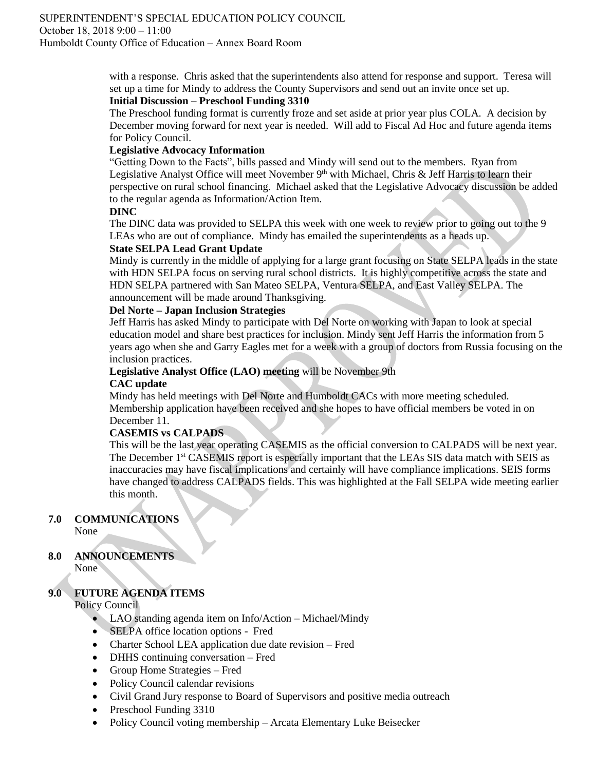## SUPERINTENDENT'S SPECIAL EDUCATION POLICY COUNCIL October 18, 2018 9:00 – 11:00 Humboldt County Office of Education – Annex Board Room

with a response. Chris asked that the superintendents also attend for response and support. Teresa will set up a time for Mindy to address the County Supervisors and send out an invite once set up.

# **Initial Discussion – Preschool Funding 3310**

The Preschool funding format is currently froze and set aside at prior year plus COLA. A decision by December moving forward for next year is needed. Will add to Fiscal Ad Hoc and future agenda items for Policy Council.

# **Legislative Advocacy Information**

"Getting Down to the Facts", bills passed and Mindy will send out to the members. Ryan from Legislative Analyst Office will meet November 9<sup>th</sup> with Michael, Chris & Jeff Harris to learn their perspective on rural school financing. Michael asked that the Legislative Advocacy discussion be added to the regular agenda as Information/Action Item.

## **DINC**

The DINC data was provided to SELPA this week with one week to review prior to going out to the 9 LEAs who are out of compliance. Mindy has emailed the superintendents as a heads up.

# **State SELPA Lead Grant Update**

Mindy is currently in the middle of applying for a large grant focusing on State SELPA leads in the state with HDN SELPA focus on serving rural school districts. It is highly competitive across the state and HDN SELPA partnered with San Mateo SELPA, Ventura SELPA, and East Valley SELPA. The announcement will be made around Thanksgiving.

# **Del Norte – Japan Inclusion Strategies**

Jeff Harris has asked Mindy to participate with Del Norte on working with Japan to look at special education model and share best practices for inclusion. Mindy sent Jeff Harris the information from 5 years ago when she and Garry Eagles met for a week with a group of doctors from Russia focusing on the inclusion practices.

# **Legislative Analyst Office (LAO) meeting** will be November 9th

# **CAC update**

Mindy has held meetings with Del Norte and Humboldt CACs with more meeting scheduled. Membership application have been received and she hopes to have official members be voted in on December 11.

## **CASEMIS vs CALPADS**

This will be the last year operating CASEMIS as the official conversion to CALPADS will be next year. The December 1<sup>st</sup> CASEMIS report is especially important that the LEAs SIS data match with SEIS as inaccuracies may have fiscal implications and certainly will have compliance implications. SEIS forms have changed to address CALPADS fields. This was highlighted at the Fall SELPA wide meeting earlier this month.

# **7.0 COMMUNICATIONS**

None

# **8.0 ANNOUNCEMENTS**

None

# **9.0 FUTURE AGENDA ITEMS**

Policy Council

- LAO standing agenda item on Info/Action Michael/Mindy
- **SELPA** office location options Fred
- Charter School LEA application due date revision Fred
- DHHS continuing conversation Fred
- Group Home Strategies Fred
- Policy Council calendar revisions
- Civil Grand Jury response to Board of Supervisors and positive media outreach
- Preschool Funding 3310
- Policy Council voting membership Arcata Elementary Luke Beisecker